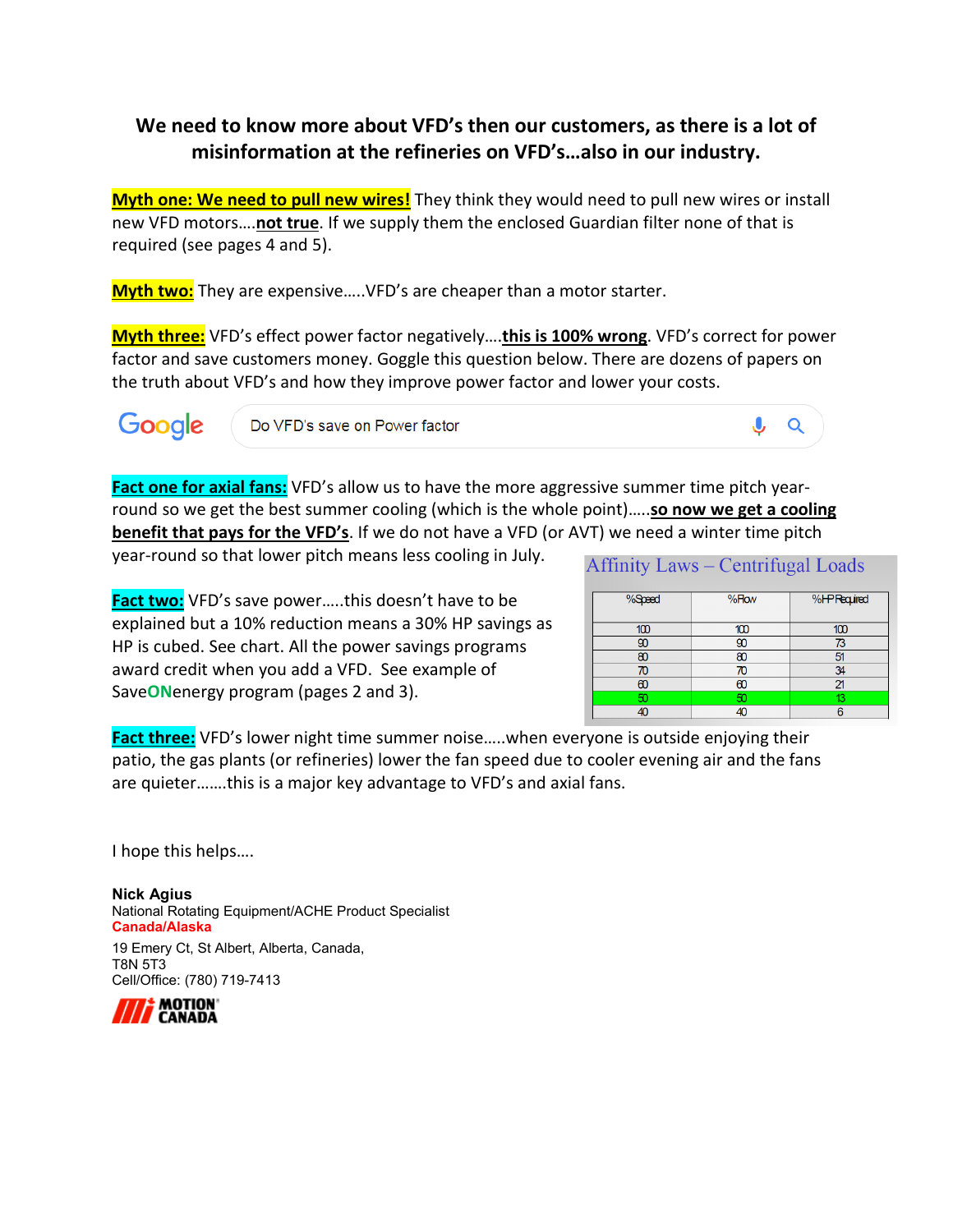## **We need to know more about VFD's then our customers, as there is a lot of misinformation at the refineries on VFD's…also in our industry.**

**Myth one: We need to pull new wires!** They think they would need to pull new wires or install new VFD motors….**not true**. If we supply them the enclosed Guardian filter none of that is required (see pages 4 and 5).

**Myth two:** They are expensive…..VFD's are cheaper than a motor starter.

**Myth three:** VFD's effect power factor negatively….**this is 100% wrong**. VFD's correct for power factor and save customers money. Goggle this question below. There are dozens of papers on the truth about VFD's and how they improve power factor and lower your costs.

Google

Do VFD's save on Power factor

 $\bullet$  a

**Fact one for axial fans:** VFD's allow us to have the more aggressive summer time pitch yearround so we get the best summer cooling (which is the whole point)…..**so now we get a cooling benefit that pays for the VFD's**. If we do not have a VFD (or AVT) we need a winter time pitch

year-round so that lower pitch means less cooling in July.

**Affinity Laws – Centrifugal Loads** 

**Fact two:** VFD's save power…..this doesn't have to be explained but a 10% reduction means a 30% HP savings as HP is cubed. See chart. All the power savings programs award credit when you add a VFD. See example of Save**ON**energy program (pages 2 and 3).

| %Speed | %How     | %HPRequired    |
|--------|----------|----------------|
|        |          |                |
| 100    | 100      | 100            |
| œ      | g        | 73             |
| æ      | R٢       | 51             |
|        | ∕О       | 34             |
| ബ      | $\infty$ | $\mathfrak{p}$ |
| 50     | 50       | 12             |
|        |          |                |

**Fact three:** VFD's lower night time summer noise…..when everyone is outside enjoying their patio, the gas plants (or refineries) lower the fan speed due to cooler evening air and the fans are quieter…….this is a major key advantage to VFD's and axial fans.

I hope this helps….

**Nick Agius** National Rotating Equipment/ACHE Product Specialist **Canada/Alaska** 19 Emery Ct, St Albert, Alberta, Canada,

T8N 5T3 Cell/Office: (780) 719-7413

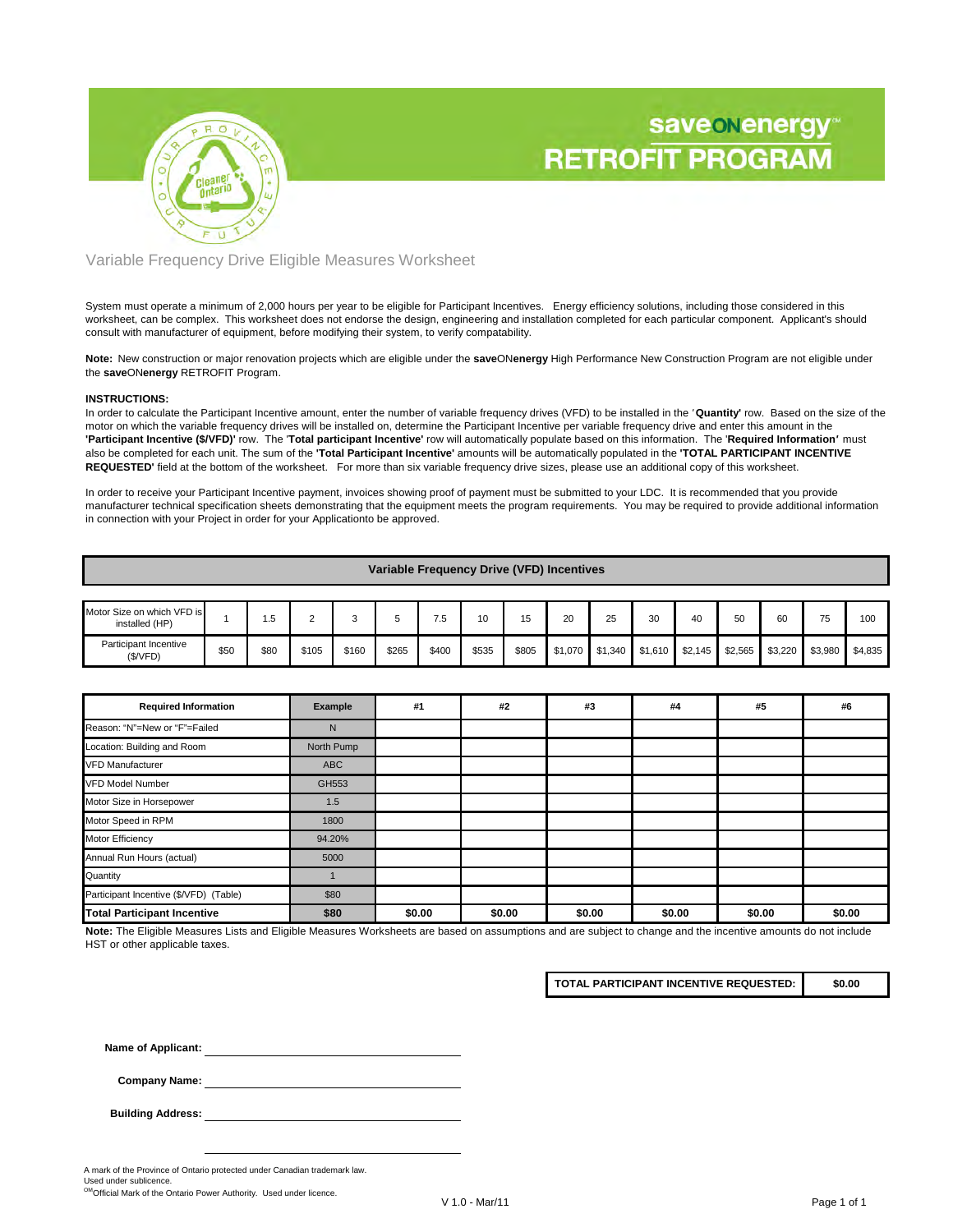



Variable Frequency Drive Eligible Measures Worksheet

System must operate a minimum of 2,000 hours per year to be eligible for Participant Incentives. Energy efficiency solutions, including those considered in this worksheet, can be complex. This worksheet does not endorse the design, engineering and installation completed for each particular component. Applicant's should consult with manufacturer of equipment, before modifying their system, to verify compatability.

**Note:** New construction or major renovation projects which are eligible under the **save**ON**energy** High Performance New Construction Program are not eligible under the **save**ON**energy** RETROFIT Program.

### **INSTRUCTIONS:**

In order to calculate the Participant Incentive amount, enter the number of variable frequency drives (VFD) to be installed in the *'* **Quantity'** row. Based on the size of the motor on which the variable frequency drives will be installed on, determine the Participant Incentive per variable frequency drive and enter this amount in the **'Participant Incentive (\$/VFD)'** row. The '**Total participant Incentive'** row will automatically populate based on this information. The '**Required Information***'* must also be completed for each unit. The sum of the **'Total Participant Incentive'** amounts will be automatically populated in the **'TOTAL PARTICIPANT INCENTIVE REQUESTED'** field at the bottom of the worksheet. For more than six variable frequency drive sizes, please use an additional copy of this worksheet.

In order to receive your Participant Incentive payment, invoices showing proof of payment must be submitted to your LDC. It is recommended that you provide manufacturer technical specification sheets demonstrating that the equipment meets the program requirements. You may be required to provide additional information in connection with your Project in order for your Applicationto be approved.

| Variable Frequency Drive (VFD) Incentives    |      |      |       |       |       |       |       |       |         |    |                 |         |         |         |         |         |
|----------------------------------------------|------|------|-------|-------|-------|-------|-------|-------|---------|----|-----------------|---------|---------|---------|---------|---------|
|                                              |      |      |       |       |       |       |       |       |         |    |                 |         |         |         |         |         |
| Motor Size on which VFD is<br>installed (HP) |      | 1.5  |       | о     |       | 7.5   | 10    | 15    | 20      | 25 | 30              | 40      | 50      | 60      | 75      | 100     |
| Participant Incentive<br>(\$/VFD)            | \$50 | \$80 | \$105 | \$160 | \$265 | \$400 | \$535 | \$805 | \$1,070 |    | \$1,340 \$1,610 | \$2,145 | \$2,565 | \$3,220 | \$3,980 | \$4,835 |

| <b>Required Information</b>            | Example    | #1     | #2     | #3     | #4     | #5     | #6     |
|----------------------------------------|------------|--------|--------|--------|--------|--------|--------|
| Reason: "N"=New or "F"=Failed          | N          |        |        |        |        |        |        |
| Location: Building and Room            | North Pump |        |        |        |        |        |        |
| <b>VFD Manufacturer</b>                | ABC        |        |        |        |        |        |        |
| <b>VFD Model Number</b>                | GH553      |        |        |        |        |        |        |
| Motor Size in Horsepower               | 1.5        |        |        |        |        |        |        |
| Motor Speed in RPM                     | 1800       |        |        |        |        |        |        |
| Motor Efficiency                       | 94.20%     |        |        |        |        |        |        |
| Annual Run Hours (actual)              | 5000       |        |        |        |        |        |        |
| Quantity                               |            |        |        |        |        |        |        |
| Participant Incentive (\$/VFD) (Table) | \$80       |        |        |        |        |        |        |
| <b>Total Participant Incentive</b>     | \$80       | \$0.00 | \$0.00 | \$0.00 | \$0.00 | \$0.00 | \$0.00 |

**Note:** The Eligible Measures Lists and Eligible Measures Worksheets are based on assumptions and are subject to change and the incentive amounts do not include HST or other applicable taxes.

**TOTAL PARTICIPANT INCENTIVE REQUESTED: \$0.00**

**Name of Applicant:**

**Company Name:**

**Building Address:**

A mark of the Province of Ontario protected under Canadian trademark law.

Used under sublicence. OMOfficial Mark of the Ontario Power Authority. Used under licence.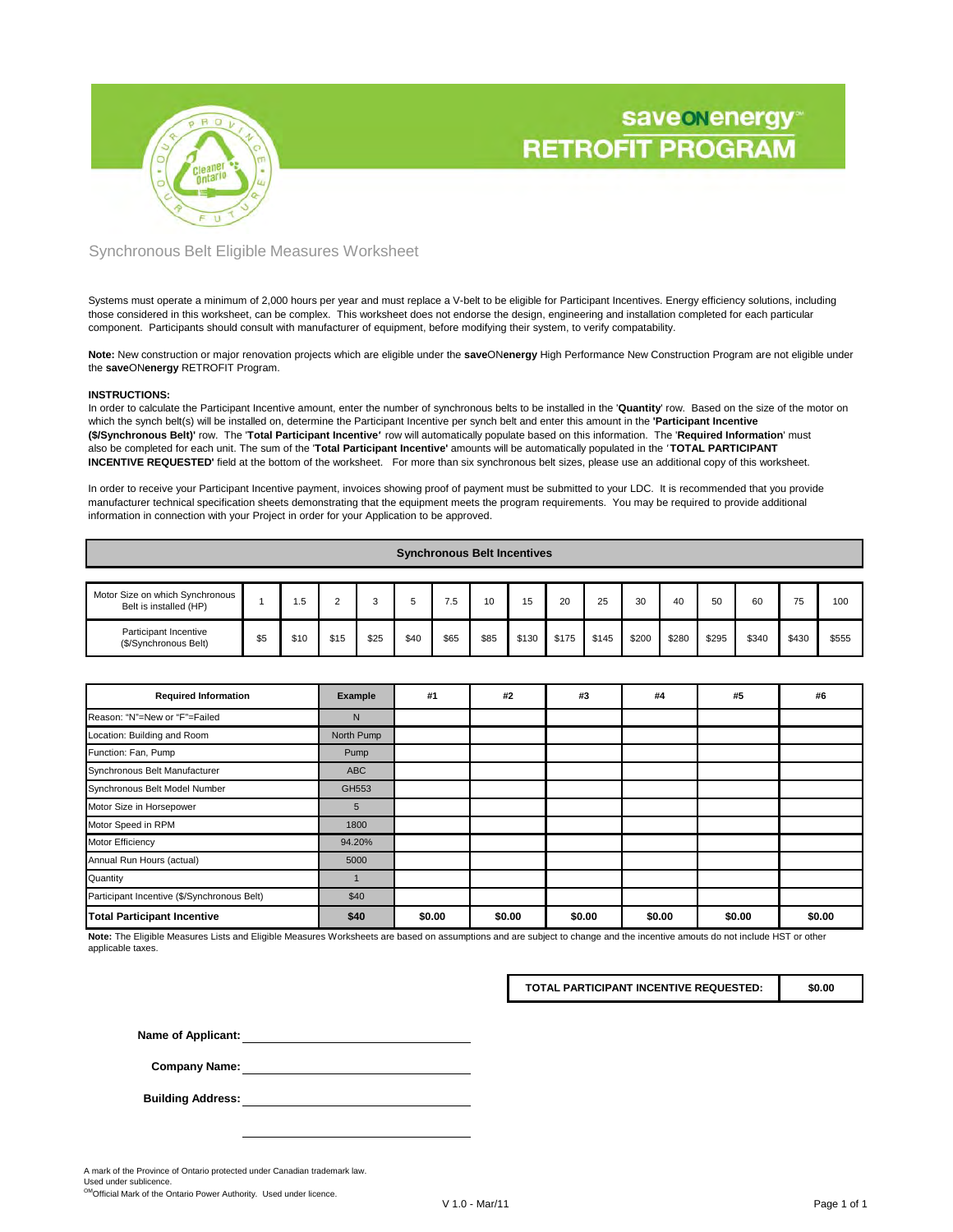



### Synchronous Belt Eligible Measures Worksheet

Systems must operate a minimum of 2,000 hours per year and must replace a V-belt to be eligible for Participant Incentives. Energy efficiency solutions, including those considered in this worksheet, can be complex. This worksheet does not endorse the design, engineering and installation completed for each particular component. Participants should consult with manufacturer of equipment, before modifying their system, to verify compatability.

**Note:** New construction or major renovation projects which are eligible under the **save**ON**energy** High Performance New Construction Program are not eligible under the **save**ON**energy** RETROFIT Program.

#### **INSTRUCTIONS:**

In order to calculate the Participant Incentive amount, enter the number of synchronous belts to be installed in the '**Quantity**' row. Based on the size of the motor on which the synch belt(s) will be installed on, determine the Participant Incentive per synch belt and enter this amount in the **'Participant Incentive (\$/Synchronous Belt)'** row. The '**Total Participant Incentive***'* row will automatically populate based on this information. The '**Required Information**' must also be completed for each unit. The sum of the '**Total Participant Incentive'** amounts will be automatically populated in the *'* **TOTAL PARTICIPANT INCENTIVE REQUESTED'** field at the bottom of the worksheet. For more than six synchronous belt sizes, please use an additional copy of this worksheet.

In order to receive your Participant Incentive payment, invoices showing proof of payment must be submitted to your LDC. It is recommended that you provide manufacturer technical specification sheets demonstrating that the equipment meets the program requirements. You may be required to provide additional information in connection with your Project in order for your Application to be approved.

|  | <b>Synchronous Belt Incentives</b> |  |
|--|------------------------------------|--|
|--|------------------------------------|--|

| Motor Size on which Synchronous<br>Belt is installed (HP) |     | ه.   |      |      |      | .5   |      | 15    | 20    | 25    | 30    | 40    | 50    | 60    | 75    | 100   |
|-----------------------------------------------------------|-----|------|------|------|------|------|------|-------|-------|-------|-------|-------|-------|-------|-------|-------|
| Participant Incentive<br>(\$/Synchronous Belt)            | \$5 | \$10 | \$15 | \$25 | \$40 | \$65 | \$85 | \$130 | \$175 | \$145 | \$200 | \$280 | \$295 | \$340 | \$430 | \$555 |

| <b>Required Information</b>                 | Example    | #1     | #2     | #3     | #4     | #5     | #6     |
|---------------------------------------------|------------|--------|--------|--------|--------|--------|--------|
| Reason: "N"=New or "F"=Failed               | N          |        |        |        |        |        |        |
| Location: Building and Room                 | North Pump |        |        |        |        |        |        |
| Function: Fan, Pump                         | Pump       |        |        |        |        |        |        |
| Synchronous Belt Manufacturer               | <b>ABC</b> |        |        |        |        |        |        |
| Synchronous Belt Model Number               | GH553      |        |        |        |        |        |        |
| Motor Size in Horsepower                    | 5          |        |        |        |        |        |        |
| Motor Speed in RPM                          | 1800       |        |        |        |        |        |        |
| <b>Motor Efficiency</b>                     | 94.20%     |        |        |        |        |        |        |
| Annual Run Hours (actual)                   | 5000       |        |        |        |        |        |        |
| Quantity                                    |            |        |        |        |        |        |        |
| Participant Incentive (\$/Synchronous Belt) | \$40       |        |        |        |        |        |        |
| <b>Total Participant Incentive</b>          | \$40       | \$0.00 | \$0.00 | \$0.00 | \$0.00 | \$0.00 | \$0.00 |

**Note:** The Eligible Measures Lists and Eligible Measures Worksheets are based on assumptions and are subject to change and the incentive amouts do not include HST or other applicable taxes.

**TOTAL PARTICIPANT INCENTIVE REQUESTED:**

**\$0.00**

**Name of Applicant:**

**Company Name:**

**Building Address:**

A mark of the Province of Ontario protected under Canadian trademark law. Used under sublicence.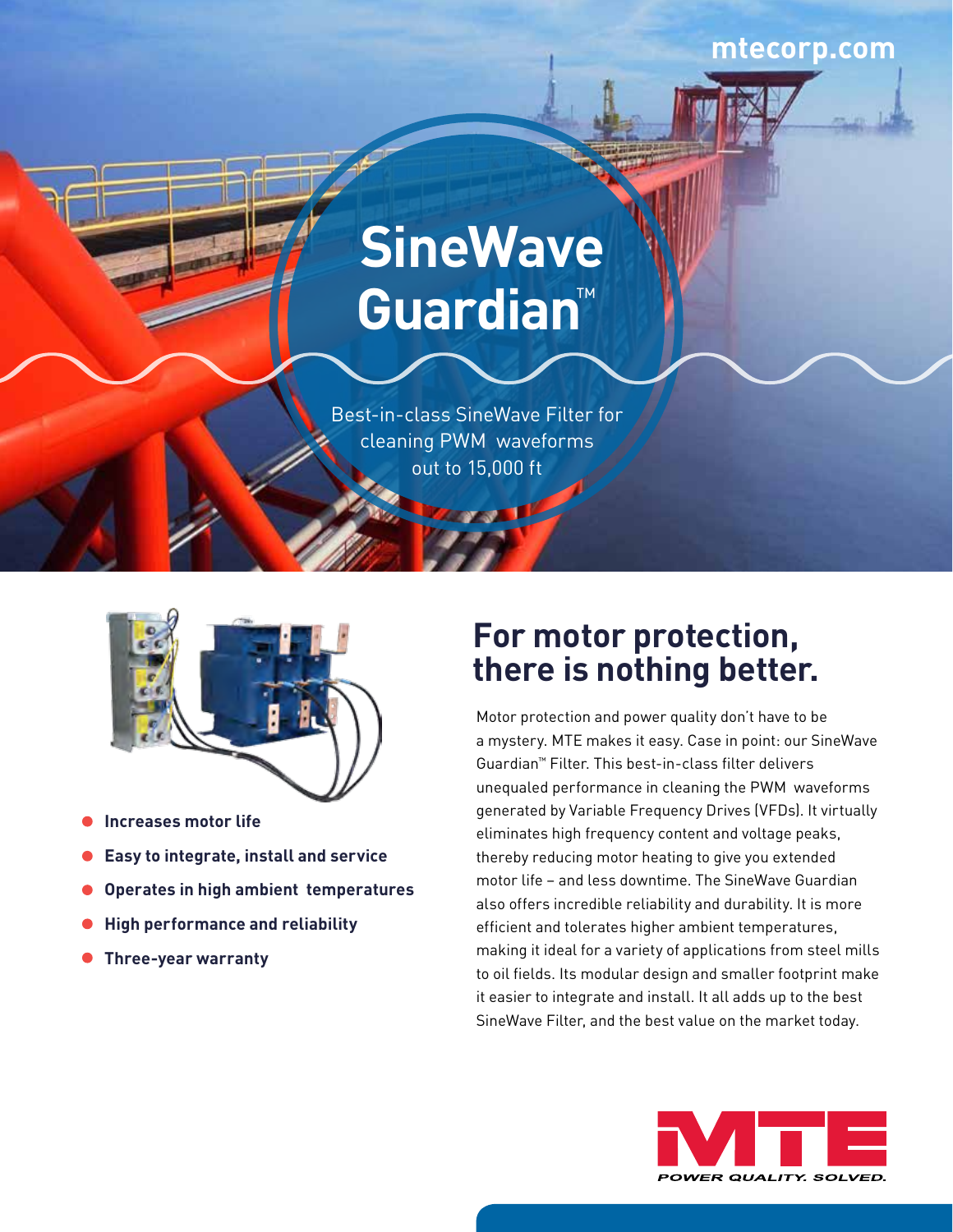## **mtecorp.com**



# **SineWave Guardian**™

Best-in-class SineWave Filter for cleaning PWM waveforms out to 15,000 ft



- **Increases motor life**
- **Easy to integrate, install and service**
- **Operates in high ambient temperatures**
- **High performance and reliability**
- **Three-year warranty**

## **For motor protection, there is nothing better.**

Motor protection and power quality don't have to be a mystery. MTE makes it easy. Case in point: our SineWave Guardian™ Filter. This best-in-class filter delivers unequaled performance in cleaning the PWM waveforms generated by Variable Frequency Drives (VFDs). It virtually eliminates high frequency content and voltage peaks, thereby reducing motor heating to give you extended motor life – and less downtime. The SineWave Guardian also offers incredible reliability and durability. It is more efficient and tolerates higher ambient temperatures, making it ideal for a variety of applications from steel mills to oil fields. Its modular design and smaller footprint make it easier to integrate and install. It all adds up to the best SineWave Filter, and the best value on the market today.